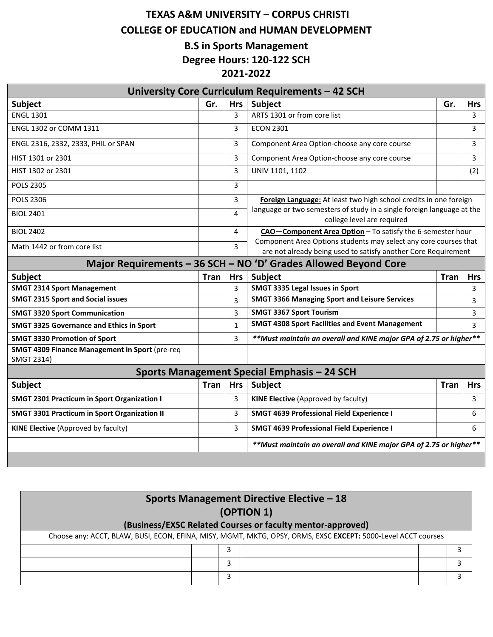## **TEXAS A&M UNIVERSITY – CORPUS CHRISTI COLLEGE OF EDUCATION and HUMAN DEVELOPMENT B.S in Sports Management**

**Degree Hours: 120‐122 SCH**

## **2021‐2022**

| University Core Curriculum Requirements - 42 SCH             |                                                                 |                         |                                                                                                                                                                           |             |            |  |  |
|--------------------------------------------------------------|-----------------------------------------------------------------|-------------------------|---------------------------------------------------------------------------------------------------------------------------------------------------------------------------|-------------|------------|--|--|
| Subject                                                      | Gr.                                                             | <b>Hrs</b>              | Subject                                                                                                                                                                   | Gr.         | <b>Hrs</b> |  |  |
| <b>ENGL 1301</b>                                             |                                                                 | 3                       | ARTS 1301 or from core list                                                                                                                                               |             | 3          |  |  |
| ENGL 1302 or COMM 1311                                       |                                                                 | 3                       | <b>ECON 2301</b>                                                                                                                                                          |             | 3          |  |  |
| ENGL 2316, 2332, 2333, PHIL or SPAN                          |                                                                 | 3                       | Component Area Option-choose any core course                                                                                                                              |             | 3          |  |  |
| HIST 1301 or 2301                                            |                                                                 | 3                       | Component Area Option-choose any core course                                                                                                                              |             | 3          |  |  |
| HIST 1302 or 2301                                            |                                                                 | 3                       | UNIV 1101, 1102                                                                                                                                                           |             | (2)        |  |  |
| <b>POLS 2305</b>                                             |                                                                 | 3                       |                                                                                                                                                                           |             |            |  |  |
| <b>POLS 2306</b>                                             |                                                                 | 3                       | Foreign Language: At least two high school credits in one foreign<br>language or two semesters of study in a single foreign language at the<br>college level are required |             |            |  |  |
| <b>BIOL 2401</b>                                             |                                                                 | $\overline{\mathbf{A}}$ |                                                                                                                                                                           |             |            |  |  |
| <b>BIOL 2402</b>                                             |                                                                 | 4                       | CAO-Component Area Option - To satisfy the 6-semester hour                                                                                                                |             |            |  |  |
| Math 1442 or from core list                                  |                                                                 | 3                       | Component Area Options students may select any core courses that<br>are not already being used to satisfy another Core Requirement                                        |             |            |  |  |
|                                                              | Major Requirements - 36 SCH - NO 'D' Grades Allowed Beyond Core |                         |                                                                                                                                                                           |             |            |  |  |
| Subject                                                      | <b>Tran</b>                                                     | <b>Hrs</b>              | Subject                                                                                                                                                                   | <b>Tran</b> | <b>Hrs</b> |  |  |
| <b>SMGT 2314 Sport Management</b>                            |                                                                 | 3                       | SMGT 3335 Legal Issues in Sport                                                                                                                                           |             | 3          |  |  |
| <b>SMGT 2315 Sport and Social issues</b>                     |                                                                 | 3                       | <b>SMGT 3366 Managing Sport and Leisure Services</b>                                                                                                                      |             | 3          |  |  |
| <b>SMGT 3320 Sport Communication</b>                         |                                                                 | 3                       | <b>SMGT 3367 Sport Tourism</b>                                                                                                                                            |             | 3          |  |  |
| <b>SMGT 3325 Governance and Ethics in Sport</b>              |                                                                 | $\mathbf{1}$            | <b>SMGT 4308 Sport Facilities and Event Management</b>                                                                                                                    |             | 3          |  |  |
| <b>SMGT 3330 Promotion of Sport</b>                          |                                                                 | 3                       | **Must maintain an overall and KINE major GPA of 2.75 or higher**                                                                                                         |             |            |  |  |
| SMGT 4309 Finance Management in Sport (pre-req<br>SMGT 2314) |                                                                 |                         |                                                                                                                                                                           |             |            |  |  |
| Sports Management Special Emphasis - 24 SCH                  |                                                                 |                         |                                                                                                                                                                           |             |            |  |  |
| Subject                                                      | Tran                                                            | <b>Hrs</b>              | Subject                                                                                                                                                                   | <b>Tran</b> | <b>Hrs</b> |  |  |
|                                                              |                                                                 |                         |                                                                                                                                                                           |             |            |  |  |
| <b>SMGT 2301 Practicum in Sport Organization I</b>           |                                                                 | 3                       | <b>KINE Elective (Approved by faculty)</b>                                                                                                                                |             | 3          |  |  |
| <b>SMGT 3301 Practicum in Sport Organization II</b>          |                                                                 | 3                       | <b>SMGT 4639 Professional Field Experience I</b>                                                                                                                          |             | 6          |  |  |
| <b>KINE Elective (Approved by faculty)</b>                   |                                                                 | 3                       | <b>SMGT 4639 Professional Field Experience I</b>                                                                                                                          |             | 6          |  |  |
|                                                              |                                                                 |                         | **Must maintain an overall and KINE major GPA of 2.75 or higher**                                                                                                         |             |            |  |  |

| <b>Sports Management Directive Elective - 18</b>                                                              |   |  |  |  |  |
|---------------------------------------------------------------------------------------------------------------|---|--|--|--|--|
| (OPTION 1)                                                                                                    |   |  |  |  |  |
| (Business/EXSC Related Courses or faculty mentor-approved)                                                    |   |  |  |  |  |
| Choose any: ACCT, BLAW, BUSI, ECON, EFINA, MISY, MGMT, MKTG, OPSY, ORMS, EXSC EXCEPT: 5000-Level ACCT courses |   |  |  |  |  |
|                                                                                                               | 3 |  |  |  |  |
|                                                                                                               | 3 |  |  |  |  |
|                                                                                                               | 3 |  |  |  |  |